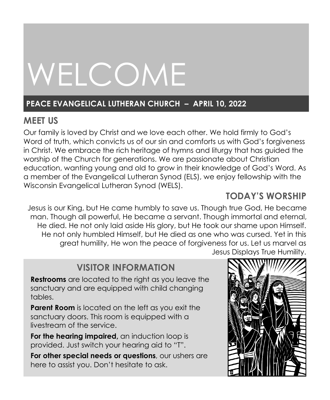# WELCOME

# **PEACE EVANGELICAL LUTHERAN CHURCH – APRIL 10, 2022**

# **MEET US**

Our family is loved by Christ and we love each other. We hold firmly to God's Word of truth, which convicts us of our sin and comforts us with God's forgiveness in Christ. We embrace the rich heritage of hymns and liturgy that has guided the worship of the Church for generations. We are passionate about Christian education, wanting young and old to grow in their knowledge of God's Word. As a member of the Evangelical Lutheran Synod (ELS), we enjoy fellowship with the Wisconsin Evangelical Lutheran Synod (WELS).

# **TODAY'S WORSHIP**

Jesus is our King, but He came humbly to save us. Though true God, He became man. Though all powerful, He became a servant. Though immortal and eternal, He died. He not only laid aside His glory, but He took our shame upon Himself. He not only humbled Himself, but He died as one who was cursed. Yet in this great humility, He won the peace of forgiveness for us. Let us marvel as Jesus Displays True Humility.

# **VISITOR INFORMATION**

**Restrooms** are located to the right as you leave the sanctuary and are equipped with child changing tables.

**Parent Room** is located on the left as you exit the sanctuary doors. This room is equipped with a livestream of the service.

**For the hearing impaired,** an induction loop is provided. Just switch your hearing aid to "T".

**For other special needs or questions**, our ushers are here to assist you. Don't hesitate to ask.

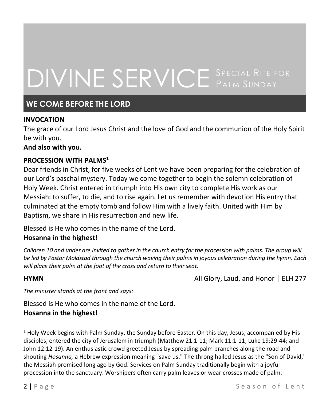# DIVINE SERVICE SPECIAL RITE FOR

# **WE COME BEFORE THE LORD**

## **INVOCATION**

The grace of our Lord Jesus Christ and the love of God and the communion of the Holy Spirit be with you.

#### **And also with you.**

### **PROCESSION WITH PALMS<sup>1</sup>**

Dear friends in Christ, for five weeks of Lent we have been preparing for the celebration of our Lord's paschal mystery. Today we come together to begin the solemn celebration of Holy Week. Christ entered in triumph into His own city to complete His work as our Messiah: to suffer, to die, and to rise again. Let us remember with devotion His entry that culminated at the empty tomb and follow Him with a lively faith. United with Him by Baptism, we share in His resurrection and new life.

Blessed is He who comes in the name of the Lord.

#### **Hosanna in the highest!**

*Children 10 and under are invited to gather in the church entry for the procession with palms. The group will be led by Pastor Moldstad through the church waving their palms in joyous celebration during the hymn. Each will place their palm at the foot of the cross and return to their seat.*

**HYMN All Glory, Laud, and Honor │ ELH 277** 

*The minister stands at the front and says:*

Blessed is He who comes in the name of the Lord.

#### **Hosanna in the highest!**

 $<sup>1</sup>$  Holy Week begins with Palm Sunday, the Sunday befor[e Easter.](http://www.stpaulskingsville.org/easter.htm) On this day, Jesus, accompanied by His</sup> disciples, entered the city of Jerusalem in triumph [\(Matthew 21:1-11;](http://bible.gospelcom.net/passage/?search=Matthew%2021:1-11;&version=47;) [Mark 11:1-11;](http://bible.gospelcom.net/passage/?search=Mark%2011:1-11;&version=47;) [Luke 19:29-44;](http://bible.gospelcom.net/passage/?search=Luke%2019:29-44;&version=47;) and [John 12:12-19\)](http://bible.gospelcom.net/passage/?search=John%2012:12-19;&version=47;). An enthusiastic crowd greeted Jesus by spreading palm branches along the road and shouting *Hosanna,* a Hebrew expression meaning "save us." The throng hailed Jesus as the "Son of David," the Messiah promised long ago by God. Services on Palm Sunday traditionally begin with a joyful procession into the sanctuary. Worshipers often carry palm leaves or wear crosses made of palm.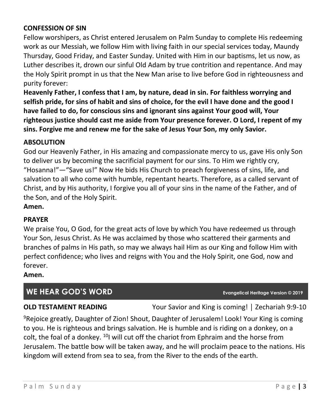# **CONFESSION OF SIN**

Fellow worshipers, as Christ entered Jerusalem on Palm Sunday to complete His redeeming work as our Messiah, we follow Him with living faith in our special services today, Maundy Thursday, Good Friday, and Easter Sunday. United with Him in our baptisms, let us now, as Luther describes it, drown our sinful Old Adam by true contrition and repentance. And may the Holy Spirit prompt in us that the New Man arise to live before God in righteousness and purity forever:

**Heavenly Father, I confess that I am, by nature, dead in sin. For faithless worrying and selfish pride, for sins of habit and sins of choice, for the evil I have done and the good I have failed to do, for conscious sins and ignorant sins against Your good will, Your righteous justice should cast me aside from Your presence forever. O Lord, I repent of my sins. Forgive me and renew me for the sake of Jesus Your Son, my only Savior.**

## **ABSOLUTION**

God our Heavenly Father, in His amazing and compassionate mercy to us, gave His only Son to deliver us by becoming the sacrificial payment for our sins. To Him we rightly cry, "Hosanna!"—"Save us!" Now He bids His Church to preach forgiveness of sins, life, and salvation to all who come with humble, repentant hearts. Therefore, as a called servant of Christ, and by His authority, I forgive you all of your sins in the name of the Father, and of the Son, and of the Holy Spirit.

**Amen.**

#### **PRAYER**

We praise You, O God, for the great acts of love by which You have redeemed us through Your Son, Jesus Christ. As He was acclaimed by those who scattered their garments and branches of palms in His path, so may we always hail Him as our King and follow Him with perfect confidence; who lives and reigns with You and the Holy Spirit, one God, now and forever.

**Amen.**

# **WE HEAR GOD'S WORD Evangelical Heritage Version © 2019**

**OLD TESTAMENT READING** Your Savior and King is coming! | Zechariah 9:9-10

<sup>9</sup>Rejoice greatly, Daughter of Zion! Shout, Daughter of Jerusalem! Look! Your King is coming to you. He is righteous and brings salvation. He is humble and is riding on a donkey, on a colt, the foal of a donkey.  $10$ I will cut off the chariot from Ephraim and the horse from Jerusalem. The battle bow will be taken away, and he will proclaim peace to the nations. His kingdom will extend from sea to sea, from the River to the ends of the earth.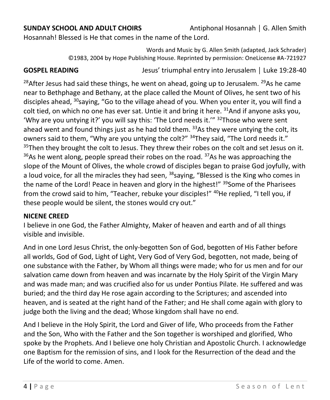Hosannah! Blessed is He that comes in the name of the Lord.

Words and Music by G. Allen Smith (adapted, Jack Schrader) ©1983, 2004 by Hope Publishing House. Reprinted by permission: OneLicense #A-721927

**GOSPEL READING** Jesus' triumphal entry into Jerusalem | Luke 19:28-40

<sup>28</sup>After Jesus had said these things, he went on ahead, going up to Jerusalem. <sup>29</sup>As he came near to Bethphage and Bethany, at the place called the Mount of Olives, he sent two of his disciples ahead, <sup>30</sup>saying, "Go to the village ahead of you. When you enter it, you will find a colt tied, on which no one has ever sat. Untie it and bring it here.  $31$ And if anyone asks you, 'Why are you untying it?' you will say this: 'The Lord needs it.'"  $32$ Those who were sent ahead went and found things just as he had told them.  $33$ As they were untying the colt, its owners said to them, "Why are you untying the colt?" <sup>34</sup>They said, "The Lord needs it."  $35$ Then they brought the colt to Jesus. They threw their robes on the colt and set Jesus on it.  $36As$  he went along, people spread their robes on the road.  $37As$  he was approaching the slope of the Mount of Olives, the whole crowd of disciples began to praise God joyfully, with a loud voice, for all the miracles they had seen,  $38$ saying, "Blessed is the King who comes in the name of the Lord! Peace in heaven and glory in the highest!" <sup>39</sup>Some of the Pharisees from the crowd said to him, "Teacher, rebuke your disciples!" <sup>40</sup>He replied, "I tell you, if these people would be silent, the stones would cry out."

# **NICENE CREED**

I believe in one God, the Father Almighty, Maker of heaven and earth and of all things visible and invisible.

And in one Lord Jesus Christ, the only-begotten Son of God, begotten of His Father before all worlds, God of God, Light of Light, Very God of Very God, begotten, not made, being of one substance with the Father, by Whom all things were made; who for us men and for our salvation came down from heaven and was incarnate by the Holy Spirit of the Virgin Mary and was made man; and was crucified also for us under Pontius Pilate. He suffered and was buried; and the third day He rose again according to the Scriptures; and ascended into heaven, and is seated at the right hand of the Father; and He shall come again with glory to judge both the living and the dead; Whose kingdom shall have no end.

And I believe in the Holy Spirit, the Lord and Giver of life, Who proceeds from the Father and the Son, Who with the Father and the Son together is worshiped and glorified, Who spoke by the Prophets. And I believe one holy Christian and Apostolic Church. I acknowledge one Baptism for the remission of sins, and I look for the Resurrection of the dead and the Life of the world to come. Amen.

**SUNDAY SCHOOL AND ADULT CHOIRS** Antiphonal Hosannah | G. Allen Smith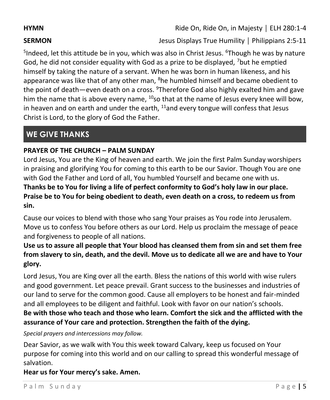**HYMN Ride On, Ride On, in Majesty** │ ELH 280:1-4

**SERMON SERMON Jesus Displays True Humility** | Philippians 2:5-11

<sup>5</sup>Indeed, let this attitude be in you, which was also in Christ Jesus. <sup>6</sup>Though he was by nature God, he did not consider equality with God as a prize to be displayed, <sup>7</sup>but he emptied himself by taking the nature of a servant. When he was born in human likeness, and his appearance was like that of any other man, <sup>8</sup>he humbled himself and became obedient to the point of death—even death on a cross. <sup>9</sup>Therefore God also highly exalted him and gave him the name that is above every name,  $10$ so that at the name of Jesus every knee will bow, in heaven and on earth and under the earth,  $11$  and every tongue will confess that Jesus Christ is Lord, to the glory of God the Father.

# **WE GIVE THANKS**

# **PRAYER OF THE CHURCH – PALM SUNDAY**

Lord Jesus, You are the King of heaven and earth. We join the first Palm Sunday worshipers in praising and glorifying You for coming to this earth to be our Savior. Though You are one with God the Father and Lord of all, You humbled Yourself and became one with us. **Thanks be to You for living a life of perfect conformity to God's holy law in our place.** 

**Praise be to You for being obedient to death, even death on a cross, to redeem us from sin.**

Cause our voices to blend with those who sang Your praises as You rode into Jerusalem. Move us to confess You before others as our Lord. Help us proclaim the message of peace and forgiveness to people of all nations.

# **Use us to assure all people that Your blood has cleansed them from sin and set them free from slavery to sin, death, and the devil. Move us to dedicate all we are and have to Your glory.**

Lord Jesus, You are King over all the earth. Bless the nations of this world with wise rulers and good government. Let peace prevail. Grant success to the businesses and industries of our land to serve for the common good. Cause all employers to be honest and fair-minded and all employees to be diligent and faithful. Look with favor on our nation's schools. **Be with those who teach and those who learn. Comfort the sick and the afflicted with the assurance of Your care and protection. Strengthen the faith of the dying.**

*Special prayers and intercessions may follow.*

Dear Savior, as we walk with You this week toward Calvary, keep us focused on Your purpose for coming into this world and on our calling to spread this wonderful message of salvation.

**Hear us for Your mercy's sake. Amen.**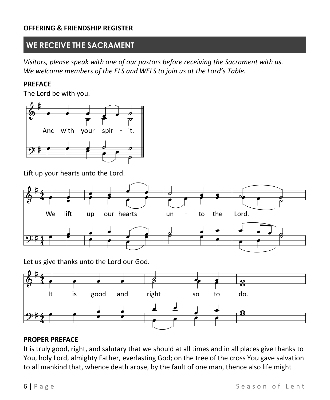### **OFFERING & FRIENDSHIP REGISTER**

# **WE RECEIVE THE SACRAMENT**

*Visitors, please speak with one of our pastors before receiving the Sacrament with us. We welcome members of the ELS and WELS to join us at the Lord's Table.*

### **PREFACE**

The Lord be with you.



Lift up your hearts unto the Lord.



Let us give thanks unto the Lord our God.



### **PROPER PREFACE**

It is truly good, right, and salutary that we should at all times and in all places give thanks to You, holy Lord, almighty Father, everlasting God; on the tree of the cross You gave salvation to all mankind that, whence death arose, by the fault of one man, thence also life might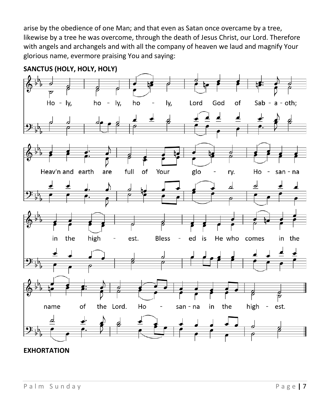arise by the obedience of one Man; and that even as Satan once overcame by a tree, likewise by a tree he was overcome, through the death of Jesus Christ, our Lord. Therefore with angels and archangels and with all the company of heaven we laud and magnify Your glorious name, evermore praising You and saying:



**SANCTUS (HOLY, HOLY, HOLY)**

## **EXHORTATION**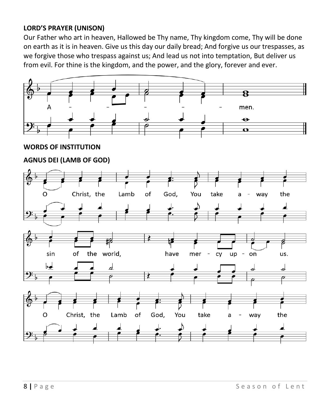# **LORD'S PRAYER (UNISON)**

Our Father who art in heaven, Hallowed be Thy name, Thy kingdom come, Thy will be done on earth as it is in heaven. Give us this day our daily bread; And forgive us our trespasses, as we forgive those who trespass against us; And lead us not into temptation, But deliver us from evil. For thine is the kingdom, and the power, and the glory, forever and ever.

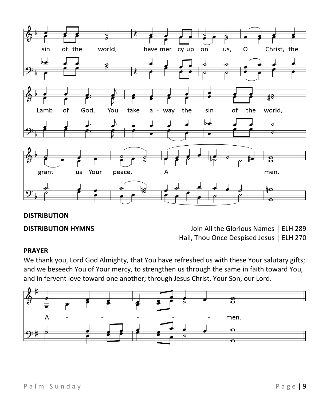

# **DISTRIBUTION**

**DISTRIBUTION HYMNS** Join All the Glorious Names │ ELH 289 Hail, Thou Once Despised Jesus │ ELH 270

### **PRAYER**

We thank you, Lord God Almighty, that You have refreshed us with these Your salutary gifts; and we beseech You of Your mercy, to strengthen us through the same in faith toward You, and in fervent love toward one another; through Jesus Christ, Your Son, our Lord.

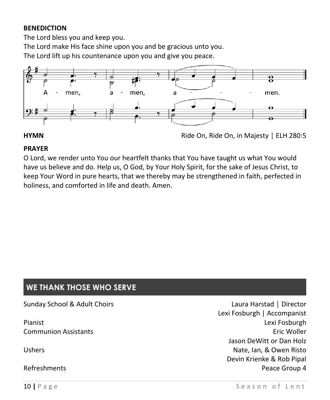## **BENEDICTION**

The Lord bless you and keep you.

The Lord make His face shine upon you and be gracious unto you.

The Lord lift up his countenance upon you and give you peace.



# **PRAYER**

O Lord, we render unto You our heartfelt thanks that You have taught us what You would have us believe and do. Help us, O God, by Your Holy Spirit, for the sake of Jesus Christ, to keep Your Word in pure hearts, that we thereby may be strengthened in faith, perfected in holiness, and comforted in life and death. Amen.

# **WE THANK THOSE WHO SERVE**

| Sunday School & Adult Choirs | Laura Harstad   Director    |
|------------------------------|-----------------------------|
|                              | Lexi Fosburgh   Accompanist |
| Pianist                      | Lexi Fosburgh               |
| <b>Communion Assistants</b>  | Eric Woller                 |
|                              | Jason DeWitt or Dan Holz    |
| <b>Ushers</b>                | Nate, Ian, & Owen Risto     |
|                              | Devin Krienke & Rob Pipal   |
| Refreshments                 | Peace Group 4               |
|                              |                             |

**HYMN** Ride On, Ride On, in Majesty │ ELH 280:5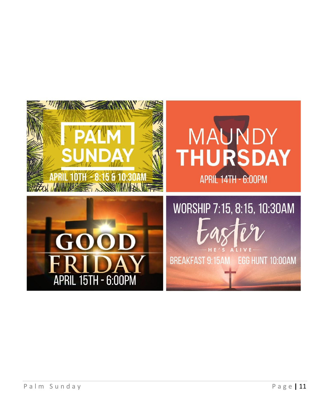